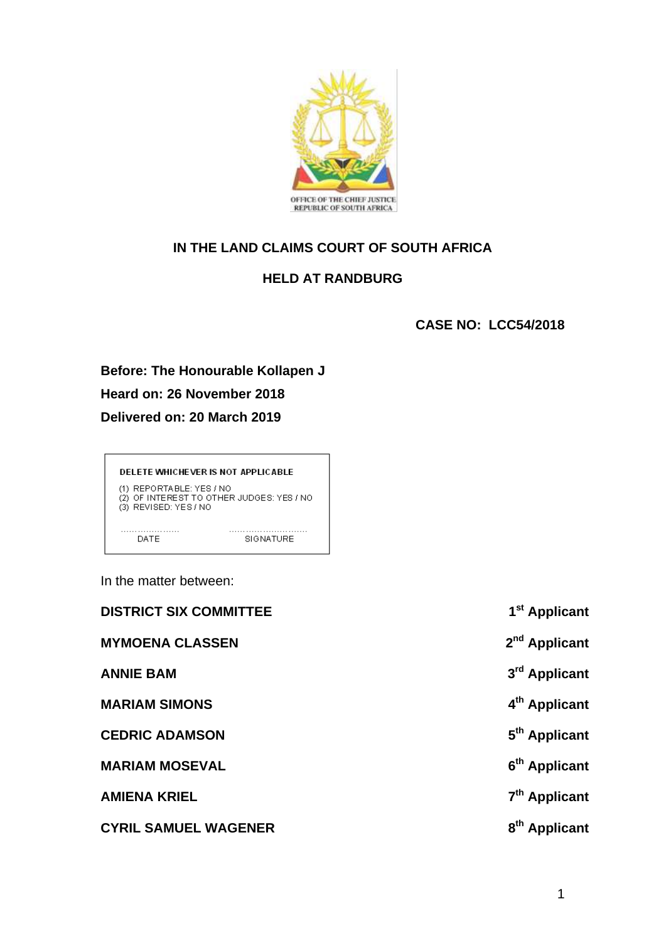

# **IN THE LAND CLAIMS COURT OF SOUTH AFRICA**

## **HELD AT RANDBURG**

**CASE NO: LCC54/2018**

**Before: The Honourable Kollapen J Heard on: 26 November 2018 Delivered on: 20 March 2019**

DELETE WHICHEVER IS NOT APPLICABLE (1) REPORTABLE: YES / NO<br>(2) OF INTEREST TO OTHER JUDGES: YES / NO<br>(3) REVISED: YES / NO يستدع . . . . . . . . . . . .  $. . . . . .$ . . . . . . . **DATE** SIGNATURE

In the matter between:

| <b>DISTRICT SIX COMMITTEE</b> | 1 <sup>st</sup> Applicant |
|-------------------------------|---------------------------|
| <b>MYMOENA CLASSEN</b>        | 2 <sup>nd</sup> Applicant |
| <b>ANNIE BAM</b>              | 3 <sup>rd</sup> Applicant |
| <b>MARIAM SIMONS</b>          | 4 <sup>th</sup> Applicant |
| <b>CEDRIC ADAMSON</b>         | 5 <sup>th</sup> Applicant |
| <b>MARIAM MOSEVAL</b>         | 6 <sup>th</sup> Applicant |
| <b>AMIENA KRIEL</b>           | 7 <sup>th</sup> Applicant |
| <b>CYRIL SAMUEL WAGENER</b>   | 8 <sup>th</sup> Applicant |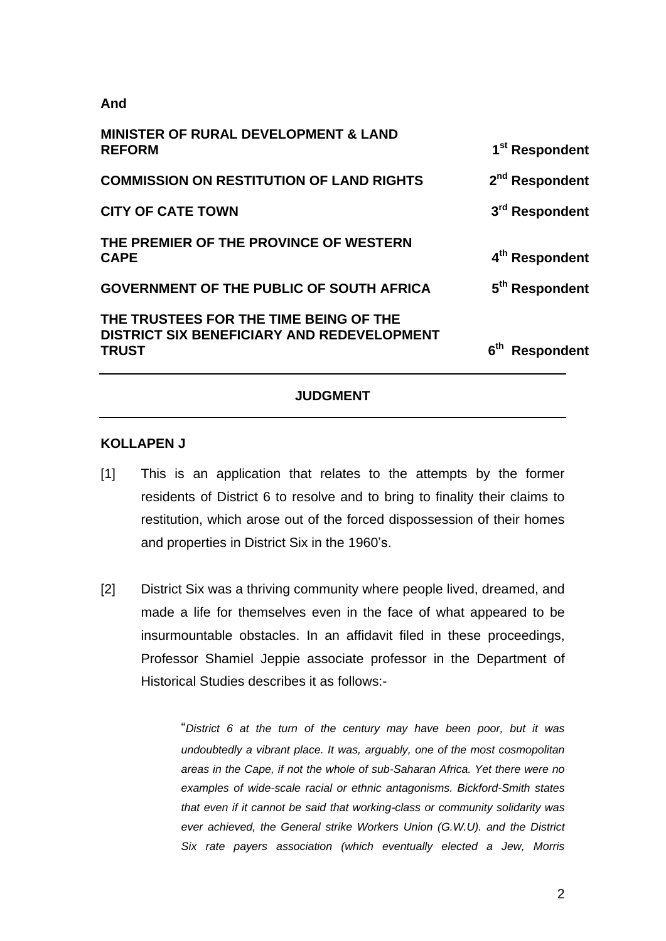#### **And**

| <b>MINISTER OF RURAL DEVELOPMENT &amp; LAND</b><br><b>REFORM</b>                              | 1 <sup>st</sup> Respondent |
|-----------------------------------------------------------------------------------------------|----------------------------|
| <b>COMMISSION ON RESTITUTION OF LAND RIGHTS</b>                                               | 2 <sup>nd</sup> Respondent |
| <b>CITY OF CATE TOWN</b>                                                                      | 3 <sup>rd</sup> Respondent |
| THE PREMIER OF THE PROVINCE OF WESTERN<br><b>CAPE</b>                                         | 4 <sup>th</sup> Respondent |
| GOVERNMENT OF THE PUBLIC OF SOUTH AFRICA                                                      | 5 <sup>th</sup> Respondent |
| THE TRUSTEES FOR THE TIME BEING OF THE<br>DISTRICT SIX BENEFICIARY AND REDEVELOPMENT<br>TRUST | 6 <sup>th</sup> Respondent |
|                                                                                               |                            |

#### **JUDGMENT**

#### **KOLLAPEN J**

- [1] This is an application that relates to the attempts by the former residents of District 6 to resolve and to bring to finality their claims to restitution, which arose out of the forced dispossession of their homes and properties in District Six in the 1960's.
- [2] District Six was a thriving community where people lived, dreamed, and made a life for themselves even in the face of what appeared to be insurmountable obstacles. In an affidavit filed in these proceedings, Professor Shamiel Jeppie associate professor in the Department of Historical Studies describes it as follows:-

"*District 6 at the turn of the century may have been poor, but it was undoubtedly a vibrant place. It was, arguably, one of the most cosmopolitan areas in the Cape, if not the whole of sub-Saharan Africa. Yet there were no examples of wide-scale racial or ethnic antagonisms. Bickford-Smith states that even if it cannot be said that working-class or community solidarity was ever achieved, the General strike Workers Union (G.W.U). and the District Six rate payers association (which eventually elected a Jew, Morris*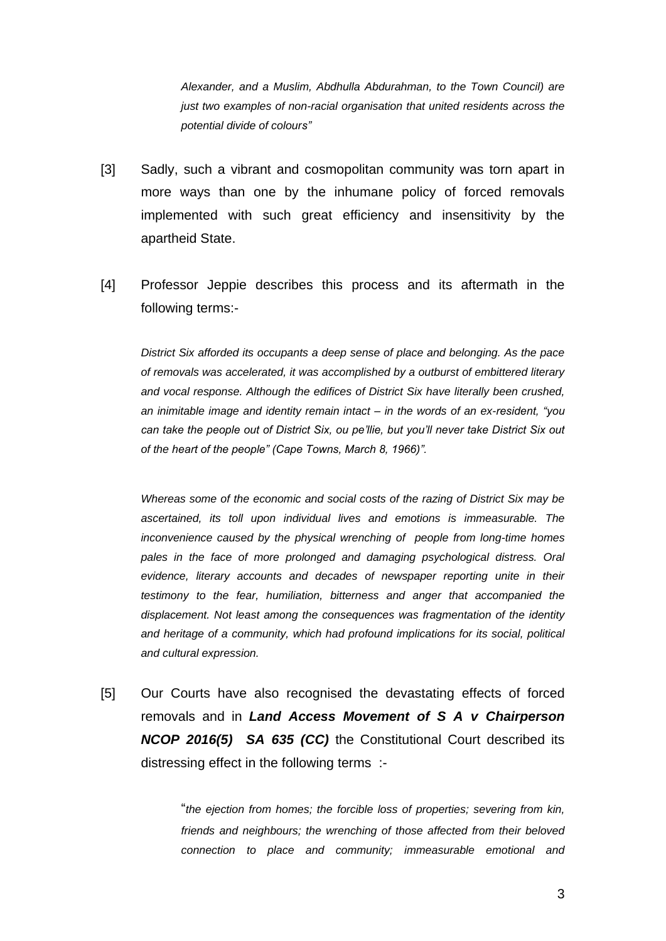*Alexander, and a Muslim, Abdhulla Abdurahman, to the Town Council) are just two examples of non-racial organisation that united residents across the potential divide of colours"*

- [3] Sadly, such a vibrant and cosmopolitan community was torn apart in more ways than one by the inhumane policy of forced removals implemented with such great efficiency and insensitivity by the apartheid State.
- [4] Professor Jeppie describes this process and its aftermath in the following terms:-

*District Six afforded its occupants a deep sense of place and belonging. As the pace of removals was accelerated, it was accomplished by a outburst of embittered literary and vocal response. Although the edifices of District Six have literally been crushed, an inimitable image and identity remain intact – in the words of an ex-resident, "you can take the people out of District Six, ou pe'llie, but you'll never take District Six out of the heart of the people" (Cape Towns, March 8, 1966)".*

*Whereas some of the economic and social costs of the razing of District Six may be ascertained, its toll upon individual lives and emotions is immeasurable. The inconvenience caused by the physical wrenching of people from long-time homes pales in the face of more prolonged and damaging psychological distress. Oral evidence, literary accounts and decades of newspaper reporting unite in their testimony to the fear, humiliation, bitterness and anger that accompanied the displacement. Not least among the consequences was fragmentation of the identity and heritage of a community, which had profound implications for its social, political and cultural expression.* 

[5] Our Courts have also recognised the devastating effects of forced removals and in *Land Access Movement of S A v Chairperson NCOP 2016(5) SA 635 (CC)* the Constitutional Court described its distressing effect in the following terms :-

> "*the ejection from homes; the forcible loss of properties; severing from kin, friends and neighbours; the wrenching of those affected from their beloved connection to place and community; immeasurable emotional and*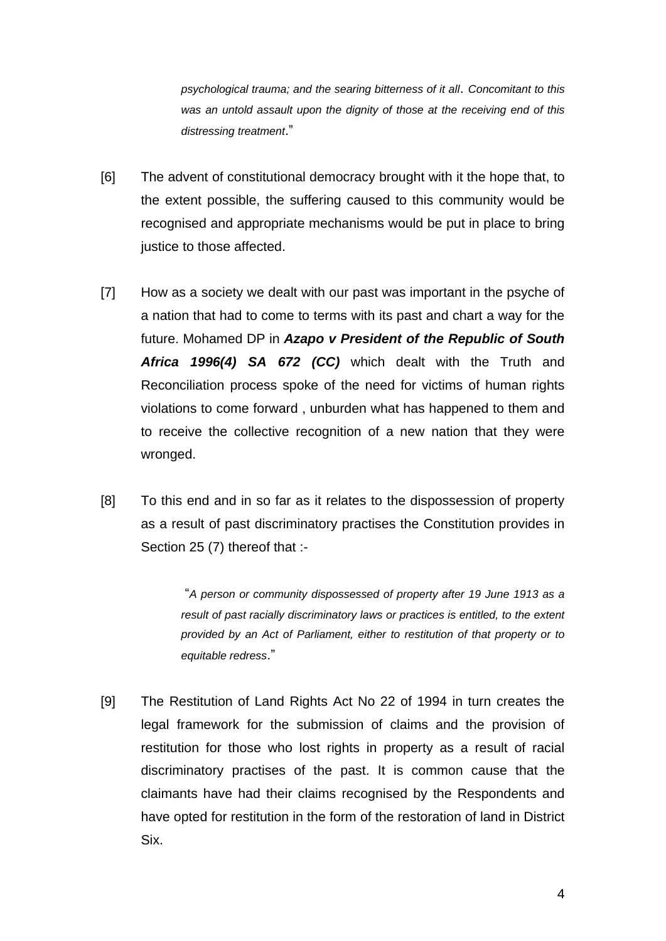*psychological trauma; and the searing bitterness of it all*. *Concomitant to this was an untold assault upon the dignity of those at the receiving end of this distressing treatment*."

- [6] The advent of constitutional democracy brought with it the hope that, to the extent possible, the suffering caused to this community would be recognised and appropriate mechanisms would be put in place to bring justice to those affected.
- [7] How as a society we dealt with our past was important in the psyche of a nation that had to come to terms with its past and chart a way for the future. Mohamed DP in *Azapo v President of the Republic of South Africa 1996(4) SA 672 (CC)* which dealt with the Truth and Reconciliation process spoke of the need for victims of human rights violations to come forward , unburden what has happened to them and to receive the collective recognition of a new nation that they were wronged.
- [8] To this end and in so far as it relates to the dispossession of property as a result of past discriminatory practises the Constitution provides in Section 25 (7) thereof that :-

"*A person or community dispossessed of property after 19 June 1913 as a result of past racially discriminatory laws or practices is entitled, to the extent provided by an Act of Parliament, either to restitution of that property or to equitable redress*."

[9] The Restitution of Land Rights Act No 22 of 1994 in turn creates the legal framework for the submission of claims and the provision of restitution for those who lost rights in property as a result of racial discriminatory practises of the past. It is common cause that the claimants have had their claims recognised by the Respondents and have opted for restitution in the form of the restoration of land in District Six.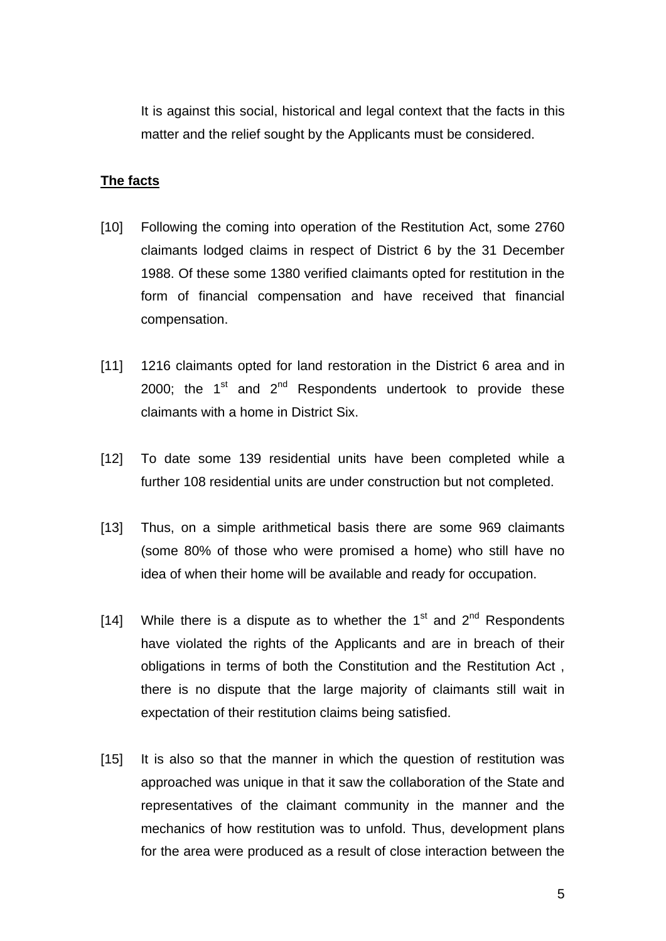It is against this social, historical and legal context that the facts in this matter and the relief sought by the Applicants must be considered.

#### **The facts**

- [10] Following the coming into operation of the Restitution Act, some 2760 claimants lodged claims in respect of District 6 by the 31 December 1988. Of these some 1380 verified claimants opted for restitution in the form of financial compensation and have received that financial compensation.
- [11] 1216 claimants opted for land restoration in the District 6 area and in 2000; the  $1<sup>st</sup>$  and  $2<sup>nd</sup>$  Respondents undertook to provide these claimants with a home in District Six.
- [12] To date some 139 residential units have been completed while a further 108 residential units are under construction but not completed.
- [13] Thus, on a simple arithmetical basis there are some 969 claimants (some 80% of those who were promised a home) who still have no idea of when their home will be available and ready for occupation.
- [14] While there is a dispute as to whether the  $1<sup>st</sup>$  and  $2<sup>nd</sup>$  Respondents have violated the rights of the Applicants and are in breach of their obligations in terms of both the Constitution and the Restitution Act , there is no dispute that the large majority of claimants still wait in expectation of their restitution claims being satisfied.
- [15] It is also so that the manner in which the question of restitution was approached was unique in that it saw the collaboration of the State and representatives of the claimant community in the manner and the mechanics of how restitution was to unfold. Thus, development plans for the area were produced as a result of close interaction between the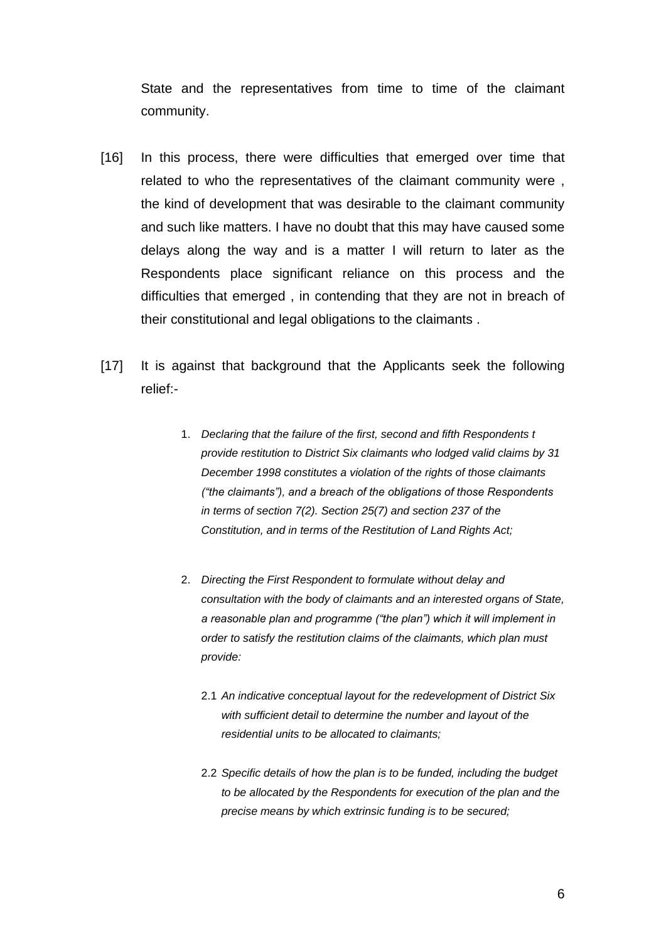State and the representatives from time to time of the claimant community.

- [16] In this process, there were difficulties that emerged over time that related to who the representatives of the claimant community were , the kind of development that was desirable to the claimant community and such like matters. I have no doubt that this may have caused some delays along the way and is a matter I will return to later as the Respondents place significant reliance on this process and the difficulties that emerged , in contending that they are not in breach of their constitutional and legal obligations to the claimants .
- [17] It is against that background that the Applicants seek the following relief:-
	- 1. *Declaring that the failure of the first, second and fifth Respondents t provide restitution to District Six claimants who lodged valid claims by 31 December 1998 constitutes a violation of the rights of those claimants ("the claimants"), and a breach of the obligations of those Respondents in terms of section 7(2). Section 25(7) and section 237 of the Constitution, and in terms of the Restitution of Land Rights Act;*
	- 2. *Directing the First Respondent to formulate without delay and consultation with the body of claimants and an interested organs of State, a reasonable plan and programme ("the plan") which it will implement in order to satisfy the restitution claims of the claimants, which plan must provide:*
		- 2.1 *An indicative conceptual layout for the redevelopment of District Six with sufficient detail to determine the number and layout of the residential units to be allocated to claimants;*
		- 2.2 *Specific details of how the plan is to be funded, including the budget to be allocated by the Respondents for execution of the plan and the precise means by which extrinsic funding is to be secured;*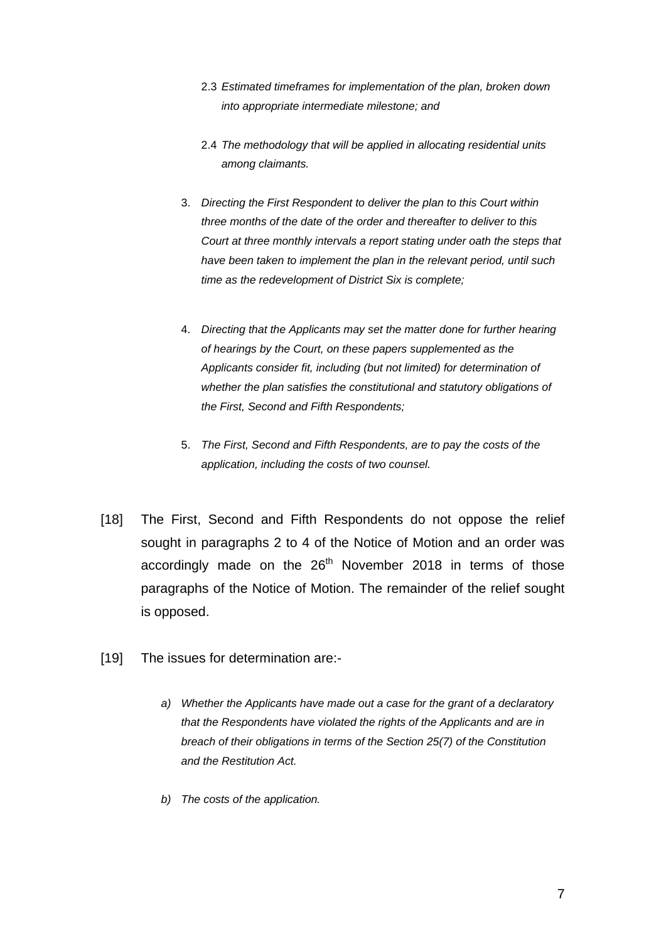- 2.3 *Estimated timeframes for implementation of the plan, broken down into appropriate intermediate milestone; and*
- 2.4 *The methodology that will be applied in allocating residential units among claimants.*
- 3. *Directing the First Respondent to deliver the plan to this Court within three months of the date of the order and thereafter to deliver to this Court at three monthly intervals a report stating under oath the steps that have been taken to implement the plan in the relevant period, until such time as the redevelopment of District Six is complete;*
- 4. *Directing that the Applicants may set the matter done for further hearing of hearings by the Court, on these papers supplemented as the Applicants consider fit, including (but not limited) for determination of whether the plan satisfies the constitutional and statutory obligations of the First, Second and Fifth Respondents;*
- 5. *The First, Second and Fifth Respondents, are to pay the costs of the application, including the costs of two counsel.*
- [18] The First, Second and Fifth Respondents do not oppose the relief sought in paragraphs 2 to 4 of the Notice of Motion and an order was accordingly made on the  $26<sup>th</sup>$  November 2018 in terms of those paragraphs of the Notice of Motion. The remainder of the relief sought is opposed.
- [19] The issues for determination are:
	- *a) Whether the Applicants have made out a case for the grant of a declaratory that the Respondents have violated the rights of the Applicants and are in breach of their obligations in terms of the Section 25(7) of the Constitution and the Restitution Act.*
	- *b) The costs of the application.*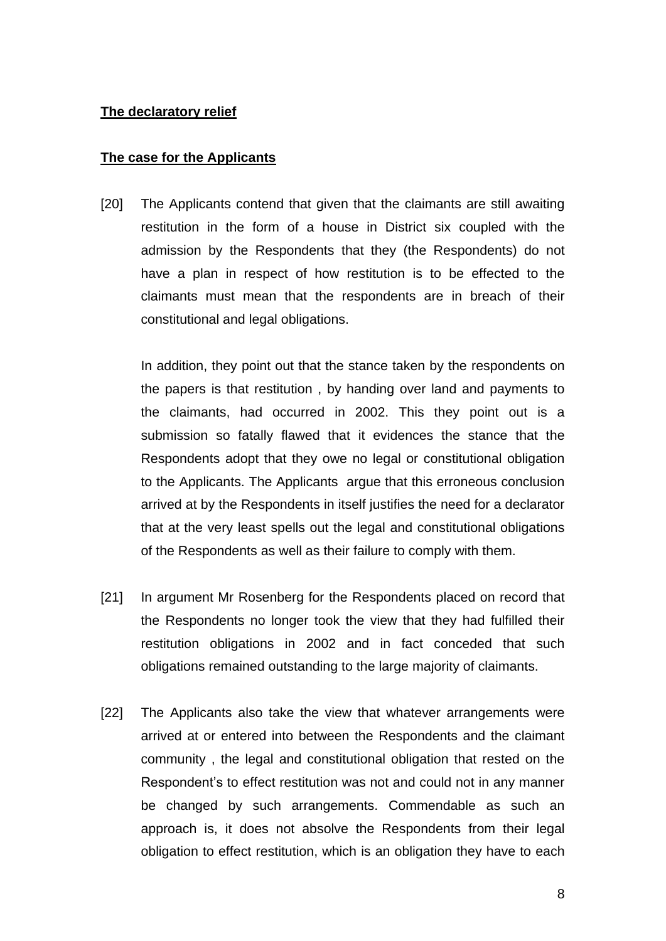## **The declaratory relief**

## **The case for the Applicants**

[20] The Applicants contend that given that the claimants are still awaiting restitution in the form of a house in District six coupled with the admission by the Respondents that they (the Respondents) do not have a plan in respect of how restitution is to be effected to the claimants must mean that the respondents are in breach of their constitutional and legal obligations.

In addition, they point out that the stance taken by the respondents on the papers is that restitution , by handing over land and payments to the claimants, had occurred in 2002. This they point out is a submission so fatally flawed that it evidences the stance that the Respondents adopt that they owe no legal or constitutional obligation to the Applicants. The Applicants argue that this erroneous conclusion arrived at by the Respondents in itself justifies the need for a declarator that at the very least spells out the legal and constitutional obligations of the Respondents as well as their failure to comply with them.

- [21] In argument Mr Rosenberg for the Respondents placed on record that the Respondents no longer took the view that they had fulfilled their restitution obligations in 2002 and in fact conceded that such obligations remained outstanding to the large majority of claimants.
- [22] The Applicants also take the view that whatever arrangements were arrived at or entered into between the Respondents and the claimant community , the legal and constitutional obligation that rested on the Respondent's to effect restitution was not and could not in any manner be changed by such arrangements. Commendable as such an approach is, it does not absolve the Respondents from their legal obligation to effect restitution, which is an obligation they have to each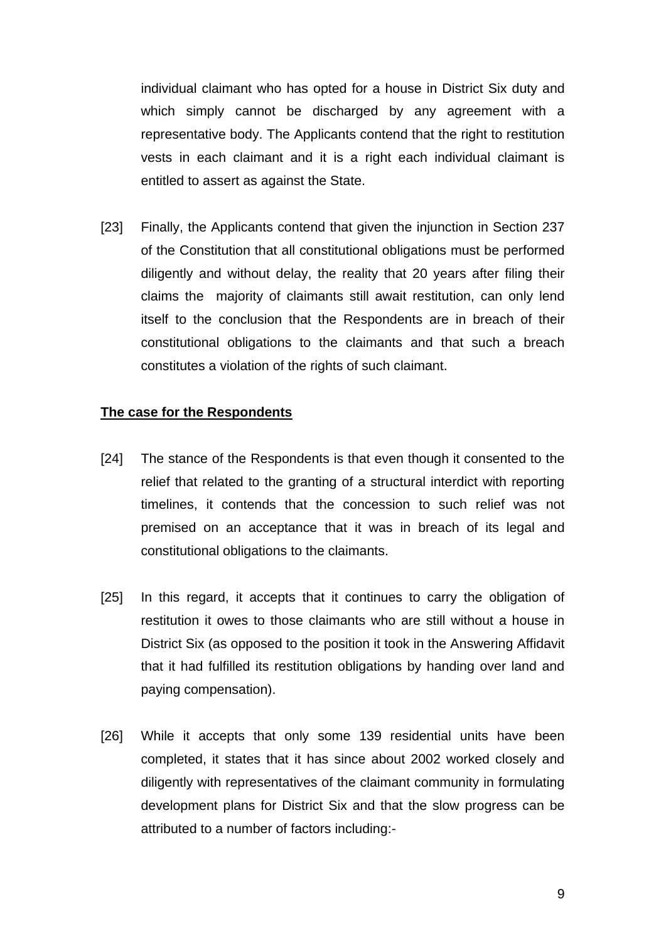individual claimant who has opted for a house in District Six duty and which simply cannot be discharged by any agreement with a representative body. The Applicants contend that the right to restitution vests in each claimant and it is a right each individual claimant is entitled to assert as against the State.

[23] Finally, the Applicants contend that given the injunction in Section 237 of the Constitution that all constitutional obligations must be performed diligently and without delay, the reality that 20 years after filing their claims the majority of claimants still await restitution, can only lend itself to the conclusion that the Respondents are in breach of their constitutional obligations to the claimants and that such a breach constitutes a violation of the rights of such claimant.

### **The case for the Respondents**

- [24] The stance of the Respondents is that even though it consented to the relief that related to the granting of a structural interdict with reporting timelines, it contends that the concession to such relief was not premised on an acceptance that it was in breach of its legal and constitutional obligations to the claimants.
- [25] In this regard, it accepts that it continues to carry the obligation of restitution it owes to those claimants who are still without a house in District Six (as opposed to the position it took in the Answering Affidavit that it had fulfilled its restitution obligations by handing over land and paying compensation).
- [26] While it accepts that only some 139 residential units have been completed, it states that it has since about 2002 worked closely and diligently with representatives of the claimant community in formulating development plans for District Six and that the slow progress can be attributed to a number of factors including:-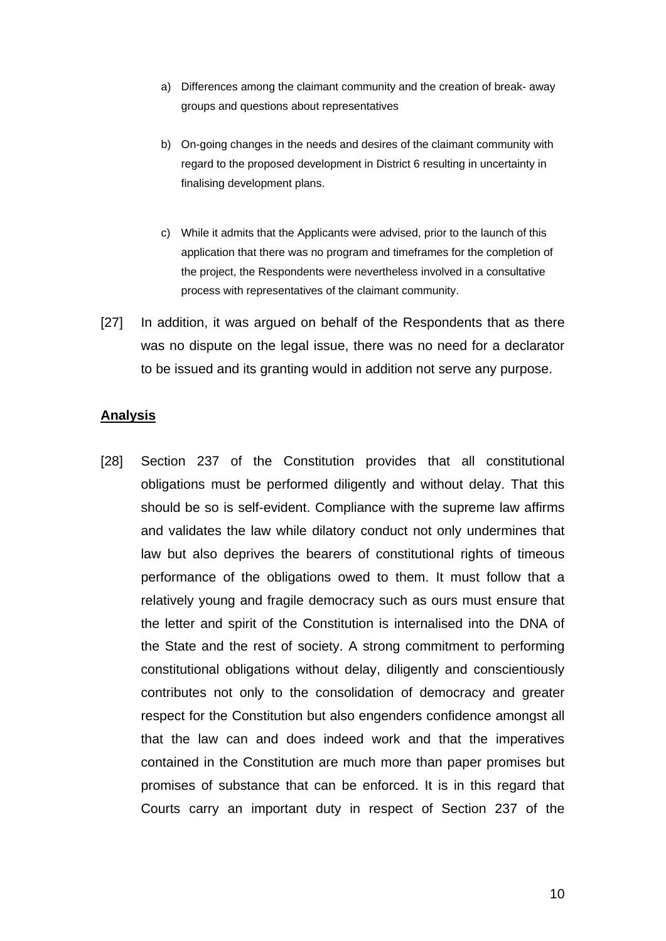- a) Differences among the claimant community and the creation of break- away groups and questions about representatives
- b) On-going changes in the needs and desires of the claimant community with regard to the proposed development in District 6 resulting in uncertainty in finalising development plans.
- c) While it admits that the Applicants were advised, prior to the launch of this application that there was no program and timeframes for the completion of the project, the Respondents were nevertheless involved in a consultative process with representatives of the claimant community.
- [27] In addition, it was argued on behalf of the Respondents that as there was no dispute on the legal issue, there was no need for a declarator to be issued and its granting would in addition not serve any purpose.

### **Analysis**

[28] Section 237 of the Constitution provides that all constitutional obligations must be performed diligently and without delay. That this should be so is self-evident. Compliance with the supreme law affirms and validates the law while dilatory conduct not only undermines that law but also deprives the bearers of constitutional rights of timeous performance of the obligations owed to them. It must follow that a relatively young and fragile democracy such as ours must ensure that the letter and spirit of the Constitution is internalised into the DNA of the State and the rest of society. A strong commitment to performing constitutional obligations without delay, diligently and conscientiously contributes not only to the consolidation of democracy and greater respect for the Constitution but also engenders confidence amongst all that the law can and does indeed work and that the imperatives contained in the Constitution are much more than paper promises but promises of substance that can be enforced. It is in this regard that Courts carry an important duty in respect of Section 237 of the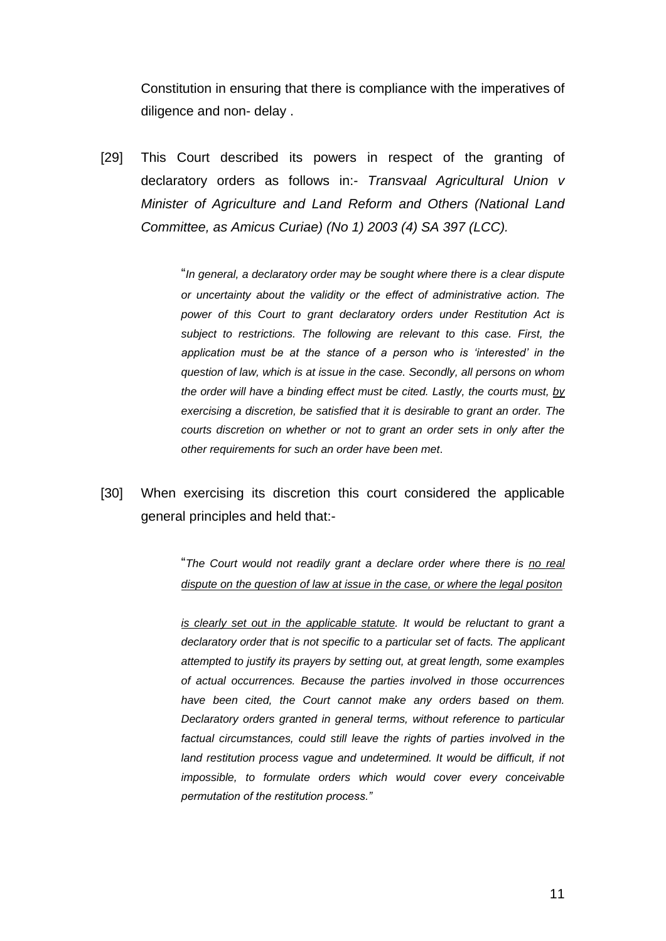Constitution in ensuring that there is compliance with the imperatives of diligence and non- delay .

[29] This Court described its powers in respect of the granting of declaratory orders as follows in:- *Transvaal Agricultural Union v Minister of Agriculture and Land Reform and Others (National Land Committee, as Amicus Curiae) (No 1) 2003 (4) SA 397 (LCC).*

> "*In general, a declaratory order may be sought where there is a clear dispute or uncertainty about the validity or the effect of administrative action. The power of this Court to grant declaratory orders under Restitution Act is subject to restrictions. The following are relevant to this case. First, the application must be at the stance of a person who is 'interested' in the question of law, which is at issue in the case. Secondly, all persons on whom the order will have a binding effect must be cited. Lastly, the courts must, by exercising a discretion, be satisfied that it is desirable to grant an order. The courts discretion on whether or not to grant an order sets in only after the other requirements for such an order have been met*.

[30] When exercising its discretion this court considered the applicable general principles and held that:-

> "*The Court would not readily grant a declare order where there is no real dispute on the question of law at issue in the case, or where the legal positon*

> *is* clearly set out in the applicable statute. It would be reluctant to grant a *declaratory order that is not specific to a particular set of facts. The applicant attempted to justify its prayers by setting out, at great length, some examples of actual occurrences. Because the parties involved in those occurrences have been cited, the Court cannot make any orders based on them. Declaratory orders granted in general terms, without reference to particular factual circumstances, could still leave the rights of parties involved in the*  land restitution process vague and undetermined. It would be difficult, if not *impossible, to formulate orders which would cover every conceivable permutation of the restitution process."*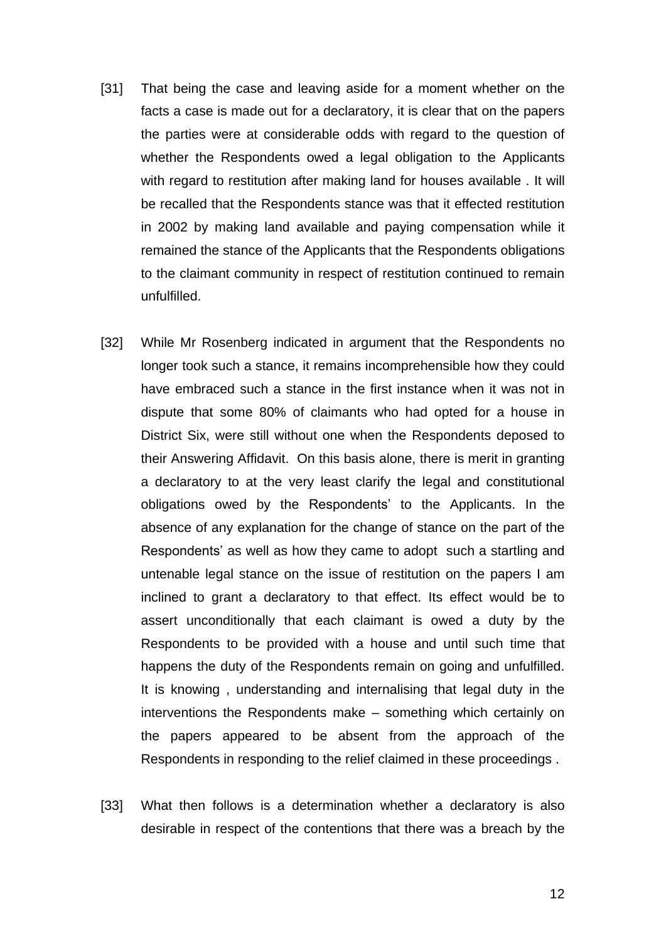- [31] That being the case and leaving aside for a moment whether on the facts a case is made out for a declaratory, it is clear that on the papers the parties were at considerable odds with regard to the question of whether the Respondents owed a legal obligation to the Applicants with regard to restitution after making land for houses available . It will be recalled that the Respondents stance was that it effected restitution in 2002 by making land available and paying compensation while it remained the stance of the Applicants that the Respondents obligations to the claimant community in respect of restitution continued to remain unfulfilled.
- [32] While Mr Rosenberg indicated in argument that the Respondents no longer took such a stance, it remains incomprehensible how they could have embraced such a stance in the first instance when it was not in dispute that some 80% of claimants who had opted for a house in District Six, were still without one when the Respondents deposed to their Answering Affidavit. On this basis alone, there is merit in granting a declaratory to at the very least clarify the legal and constitutional obligations owed by the Respondents' to the Applicants. In the absence of any explanation for the change of stance on the part of the Respondents' as well as how they came to adopt such a startling and untenable legal stance on the issue of restitution on the papers I am inclined to grant a declaratory to that effect. Its effect would be to assert unconditionally that each claimant is owed a duty by the Respondents to be provided with a house and until such time that happens the duty of the Respondents remain on going and unfulfilled. It is knowing , understanding and internalising that legal duty in the interventions the Respondents make – something which certainly on the papers appeared to be absent from the approach of the Respondents in responding to the relief claimed in these proceedings .
- [33] What then follows is a determination whether a declaratory is also desirable in respect of the contentions that there was a breach by the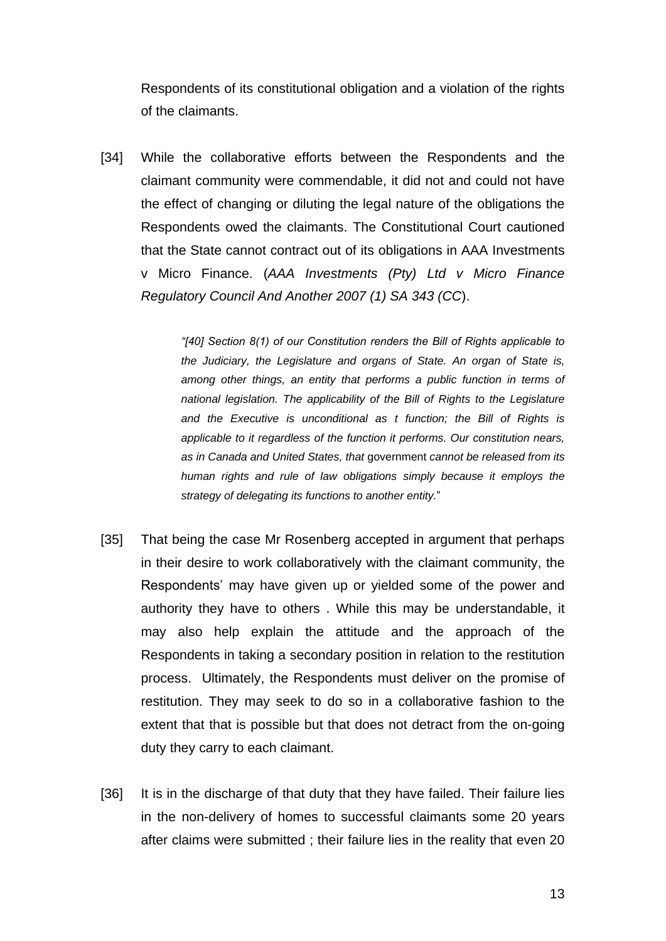Respondents of its constitutional obligation and a violation of the rights of the claimants.

[34] While the collaborative efforts between the Respondents and the claimant community were commendable, it did not and could not have the effect of changing or diluting the legal nature of the obligations the Respondents owed the claimants. The Constitutional Court cautioned that the State cannot contract out of its obligations in AAA Investments v Micro Finance. (*AAA Investments (Pty) Ltd v Micro Finance Regulatory Council And Another 2007 (1) SA 343 (CC*).

> *"[40] Section 8(1) of our Constitution renders the Bill of Rights applicable to the Judiciary, the Legislature and organs of State. An organ of State is, among other things, an entity that performs a public function in terms of national legislation. The applicability of the Bill of Rights to the Legislature and the Executive is unconditional as t function; the Bill of Rights is applicable to it regardless of the function it performs. Our constitution nears, as in Canada and United States, that* government *cannot be released from its human rights and rule of law obligations simply because it employs the strategy of delegating its functions to another entity.*"

- [35] That being the case Mr Rosenberg accepted in argument that perhaps in their desire to work collaboratively with the claimant community, the Respondents' may have given up or yielded some of the power and authority they have to others . While this may be understandable, it may also help explain the attitude and the approach of the Respondents in taking a secondary position in relation to the restitution process. Ultimately, the Respondents must deliver on the promise of restitution. They may seek to do so in a collaborative fashion to the extent that that is possible but that does not detract from the on-going duty they carry to each claimant.
- [36] It is in the discharge of that duty that they have failed. Their failure lies in the non-delivery of homes to successful claimants some 20 years after claims were submitted ; their failure lies in the reality that even 20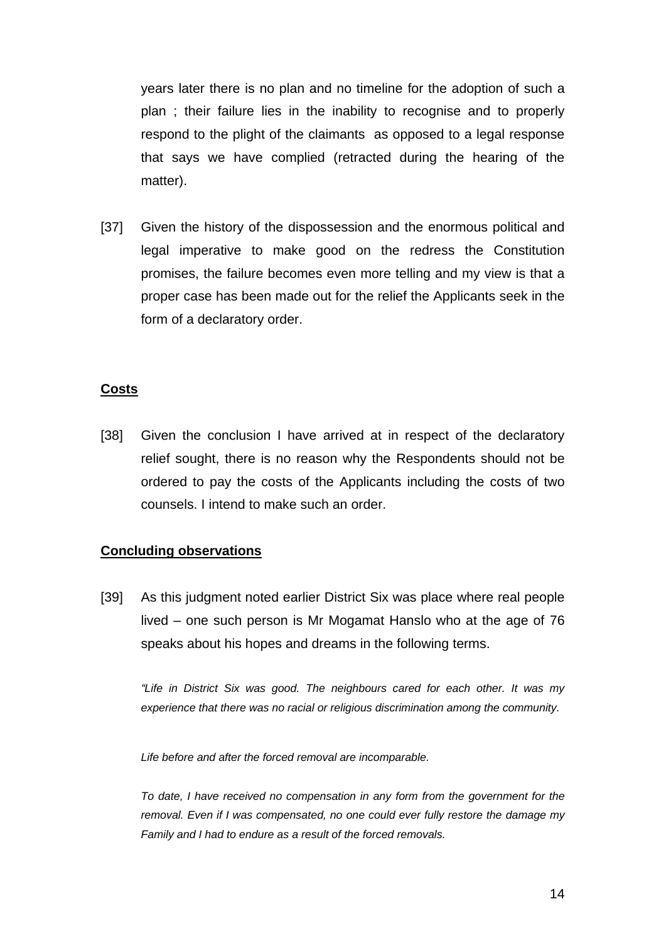years later there is no plan and no timeline for the adoption of such a plan ; their failure lies in the inability to recognise and to properly respond to the plight of the claimants as opposed to a legal response that says we have complied (retracted during the hearing of the matter).

[37] Given the history of the dispossession and the enormous political and legal imperative to make good on the redress the Constitution promises, the failure becomes even more telling and my view is that a proper case has been made out for the relief the Applicants seek in the form of a declaratory order.

### **Costs**

[38] Given the conclusion I have arrived at in respect of the declaratory relief sought, there is no reason why the Respondents should not be ordered to pay the costs of the Applicants including the costs of two counsels. I intend to make such an order.

## **Concluding observations**

[39] As this judgment noted earlier District Six was place where real people lived – one such person is Mr Mogamat Hanslo who at the age of 76 speaks about his hopes and dreams in the following terms.

*"Life in District Six was good. The neighbours cared for each other. It was my experience that there was no racial or religious discrimination among the community.*

*Life before and after the forced removal are incomparable.*

*To date, I have received no compensation in any form from the government for the removal. Even if I was compensated, no one could ever fully restore the damage my Family and I had to endure as a result of the forced removals.*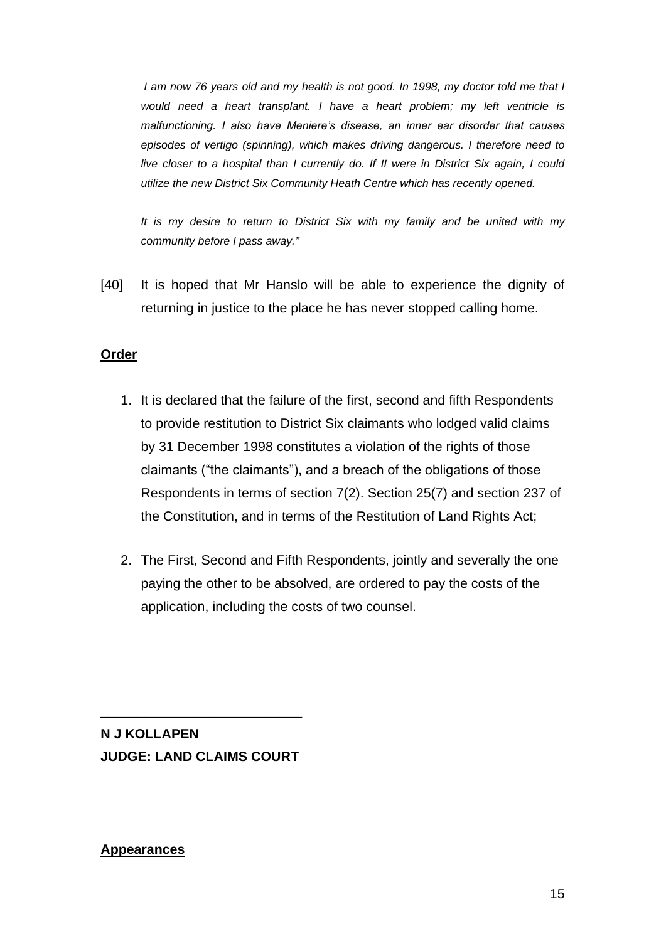*I am now 76 years old and my health is not good. In 1998, my doctor told me that I would need a heart transplant. I have a heart problem; my left ventricle is malfunctioning. I also have Meniere's disease, an inner ear disorder that causes episodes of vertigo (spinning), which makes driving dangerous. I therefore need to live closer to a hospital than I currently do. If II were in District Six again, I could utilize the new District Six Community Heath Centre which has recently opened.*

*It is my desire to return to District Six with my family and be united with my community before I pass away."*

[40] It is hoped that Mr Hanslo will be able to experience the dignity of returning in justice to the place he has never stopped calling home.

## **Order**

- 1. It is declared that the failure of the first, second and fifth Respondents to provide restitution to District Six claimants who lodged valid claims by 31 December 1998 constitutes a violation of the rights of those claimants ("the claimants"), and a breach of the obligations of those Respondents in terms of section 7(2). Section 25(7) and section 237 of the Constitution, and in terms of the Restitution of Land Rights Act;
- 2. The First, Second and Fifth Respondents, jointly and severally the one paying the other to be absolved, are ordered to pay the costs of the application, including the costs of two counsel.

**N J KOLLAPEN JUDGE: LAND CLAIMS COURT**

\_\_\_\_\_\_\_\_\_\_\_\_\_\_\_\_\_\_\_\_\_\_\_\_\_\_\_

#### **Appearances**